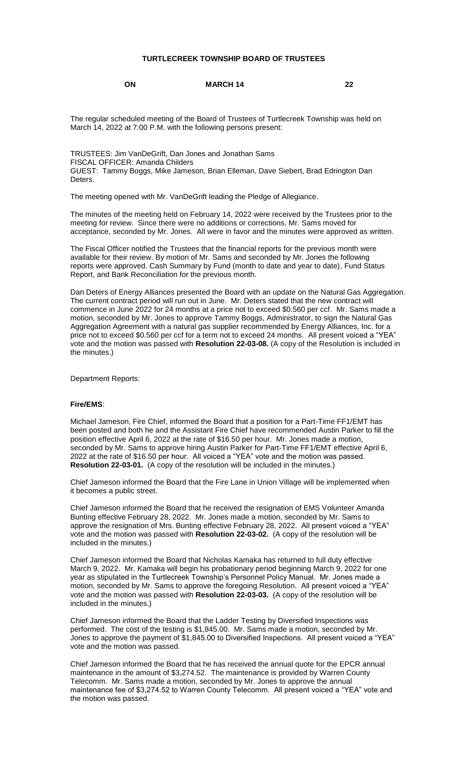### **TURTLECREEK TOWNSHIP BOARD OF TRUSTEES**

#### **ON MARCH 14 22**

The regular scheduled meeting of the Board of Trustees of Turtlecreek Township was held on March 14, 2022 at 7:00 P.M. with the following persons present:

TRUSTEES: Jim VanDeGrift, Dan Jones and Jonathan Sams FISCAL OFFICER: Amanda Childers GUEST: Tammy Boggs, Mike Jameson, Brian Elleman, Dave Siebert, Brad Edrington Dan Deters.

The meeting opened with Mr. VanDeGrift leading the Pledge of Allegiance.

The minutes of the meeting held on February 14, 2022 were received by the Trustees prior to the meeting for review. Since there were no additions or corrections, Mr. Sams moved for acceptance, seconded by Mr. Jones. All were in favor and the minutes were approved as written.

The Fiscal Officer notified the Trustees that the financial reports for the previous month were available for their review. By motion of Mr. Sams and seconded by Mr. Jones the following reports were approved. Cash Summary by Fund (month to date and year to date), Fund Status Report, and Bank Reconciliation for the previous month.

Dan Deters of Energy Alliances presented the Board with an update on the Natural Gas Aggregation. The current contract period will run out in June. Mr. Deters stated that the new contract will commence in June 2022 for 24 months at a price not to exceed \$0.560 per ccf. Mr. Sams made a motion, seconded by Mr. Jones to approve Tammy Boggs, Administrator, to sign the Natural Gas Aggregation Agreement with a natural gas supplier recommended by Energy Alliances, Inc. for a price not to exceed \$0.560 per ccf for a term not to exceed 24 months. All present voiced a "YEA" vote and the motion was passed with **Resolution 22-03-08.** (A copy of the Resolution is included in the minutes.)

Department Reports:

#### **Fire/EMS**:

Michael Jameson, Fire Chief, informed the Board that a position for a Part-Time FF1/EMT has been posted and both he and the Assistant Fire Chief have recommended Austin Parker to fill the position effective April 6, 2022 at the rate of \$16.50 per hour. Mr. Jones made a motion, seconded by Mr. Sams to approve hiring Austin Parker for Part-Time FF1/EMT effective April 6, 2022 at the rate of \$16.50 per hour. All voiced a "YEA" vote and the motion was passed. **Resolution 22-03-01.** (A copy of the resolution will be included in the minutes.)

Chief Jameson informed the Board that the Fire Lane in Union Village will be implemented when it becomes a public street.

Chief Jameson informed the Board that he received the resignation of EMS Volunteer Amanda Bunting effective February 28, 2022. Mr. Jones made a motion, seconded by Mr. Sams to approve the resignation of Mrs. Bunting effective February 28, 2022. All present voiced a "YEA" vote and the motion was passed with **Resolution 22-03-02.** (A copy of the resolution will be included in the minutes.)

Chief Jameson informed the Board that Nicholas Kamaka has returned to full duty effective March 9, 2022. Mr. Kamaka will begin his probationary period beginning March 9, 2022 for one year as stipulated in the Turtlecreek Township's Personnel Policy Manual. Mr. Jones made a motion, seconded by Mr. Sams to approve the foregoing Resolution. All present voiced a "YEA" vote and the motion was passed with **Resolution 22-03-03.** (A copy of the resolution will be included in the minutes.)

Chief Jameson informed the Board that the Ladder Testing by Diversified Inspections was performed. The cost of the testing is \$1,845.00. Mr. Sams made a motion, seconded by Mr. Jones to approve the payment of \$1,845.00 to Diversified Inspections. All present voiced a "YEA" vote and the motion was passed.

Chief Jameson informed the Board that he has received the annual quote for the EPCR annual maintenance in the amount of \$3,274.52. The maintenance is provided by Warren County Telecomm. Mr. Sams made a motion, seconded by Mr. Jones to approve the annual maintenance fee of \$3,274.52 to Warren County Telecomm. All present voiced a "YEA" vote and the motion was passed.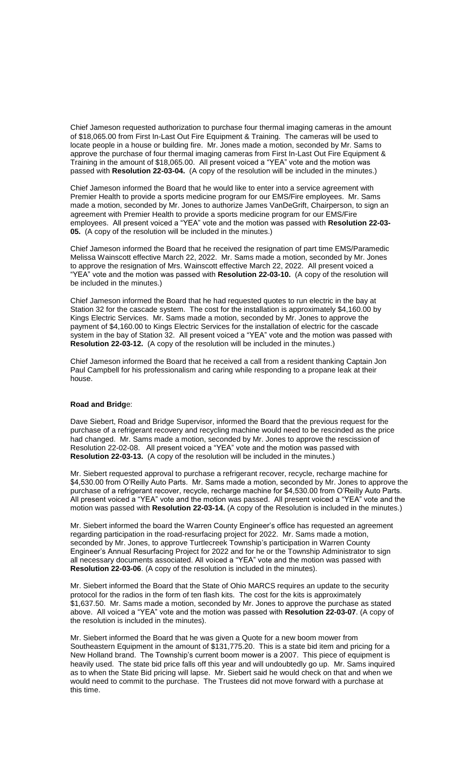Chief Jameson requested authorization to purchase four thermal imaging cameras in the amount of \$18,065.00 from First In-Last Out Fire Equipment & Training. The cameras will be used to locate people in a house or building fire. Mr. Jones made a motion, seconded by Mr. Sams to approve the purchase of four thermal imaging cameras from First In-Last Out Fire Equipment & Training in the amount of \$18,065.00. All present voiced a "YEA" vote and the motion was passed with **Resolution 22-03-04.** (A copy of the resolution will be included in the minutes.)

Chief Jameson informed the Board that he would like to enter into a service agreement with Premier Health to provide a sports medicine program for our EMS/Fire employees. Mr. Sams made a motion, seconded by Mr. Jones to authorize James VanDeGrift, Chairperson, to sign an agreement with Premier Health to provide a sports medicine program for our EMS/Fire employees. All present voiced a "YEA" vote and the motion was passed with **Resolution 22-03- 05.** (A copy of the resolution will be included in the minutes.)

Chief Jameson informed the Board that he received the resignation of part time EMS/Paramedic Melissa Wainscott effective March 22, 2022. Mr. Sams made a motion, seconded by Mr. Jones to approve the resignation of Mrs. Wainscott effective March 22, 2022. All present voiced a "YEA" vote and the motion was passed with **Resolution 22-03-10.** (A copy of the resolution will be included in the minutes.)

Chief Jameson informed the Board that he had requested quotes to run electric in the bay at Station 32 for the cascade system. The cost for the installation is approximately \$4,160.00 by Kings Electric Services. Mr. Sams made a motion, seconded by Mr. Jones to approve the payment of \$4,160.00 to Kings Electric Services for the installation of electric for the cascade system in the bay of Station 32. All present voiced a "YEA" vote and the motion was passed with **Resolution 22-03-12.** (A copy of the resolution will be included in the minutes.)

Chief Jameson informed the Board that he received a call from a resident thanking Captain Jon Paul Campbell for his professionalism and caring while responding to a propane leak at their house.

### **Road and Bridg**e:

Dave Siebert, Road and Bridge Supervisor, informed the Board that the previous request for the purchase of a refrigerant recovery and recycling machine would need to be rescinded as the price had changed. Mr. Sams made a motion, seconded by Mr. Jones to approve the rescission of Resolution 22-02-08. All present voiced a "YEA" vote and the motion was passed with **Resolution 22-03-13.** (A copy of the resolution will be included in the minutes.)

Mr. Siebert requested approval to purchase a refrigerant recover, recycle, recharge machine for \$4,530.00 from O'Reilly Auto Parts. Mr. Sams made a motion, seconded by Mr. Jones to approve the purchase of a refrigerant recover, recycle, recharge machine for \$4,530.00 from O'Reilly Auto Parts. All present voiced a "YEA" vote and the motion was passed. All present voiced a "YEA" vote and the motion was passed with **Resolution 22-03-14.** (A copy of the Resolution is included in the minutes.)

Mr. Siebert informed the board the Warren County Engineer's office has requested an agreement regarding participation in the road-resurfacing project for 2022. Mr. Sams made a motion, seconded by Mr. Jones, to approve Turtlecreek Township's participation in Warren County Engineer's Annual Resurfacing Project for 2022 and for he or the Township Administrator to sign all necessary documents associated. All voiced a "YEA" vote and the motion was passed with **Resolution 22-03-06**. (A copy of the resolution is included in the minutes).

Mr. Siebert informed the Board that the State of Ohio MARCS requires an update to the security protocol for the radios in the form of ten flash kits. The cost for the kits is approximately \$1,637.50. Mr. Sams made a motion, seconded by Mr. Jones to approve the purchase as stated above. All voiced a "YEA" vote and the motion was passed with **Resolution 22-03-07**. (A copy of the resolution is included in the minutes).

Mr. Siebert informed the Board that he was given a Quote for a new boom mower from Southeastern Equipment in the amount of \$131,775.20. This is a state bid item and pricing for a New Holland brand. The Township's current boom mower is a 2007. This piece of equipment is heavily used. The state bid price falls off this year and will undoubtedly go up. Mr. Sams inquired as to when the State Bid pricing will lapse. Mr. Siebert said he would check on that and when we would need to commit to the purchase. The Trustees did not move forward with a purchase at this time.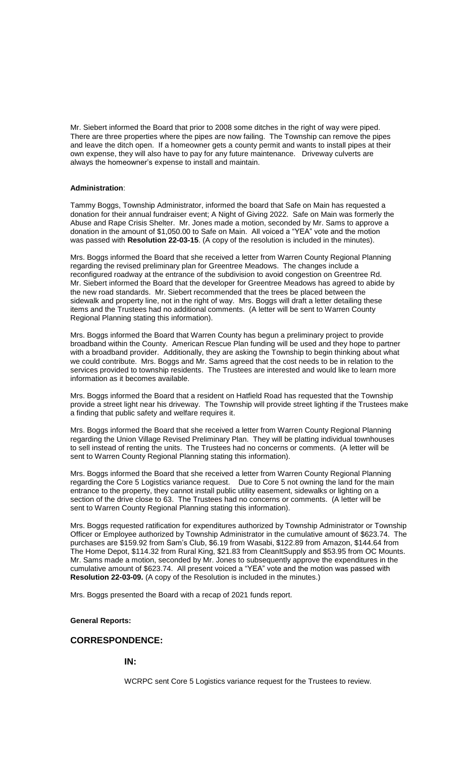Mr. Siebert informed the Board that prior to 2008 some ditches in the right of way were piped. There are three properties where the pipes are now failing. The Township can remove the pipes and leave the ditch open. If a homeowner gets a county permit and wants to install pipes at their own expense, they will also have to pay for any future maintenance. Driveway culverts are always the homeowner's expense to install and maintain.

### **Administration**:

Tammy Boggs, Township Administrator, informed the board that Safe on Main has requested a donation for their annual fundraiser event; A Night of Giving 2022. Safe on Main was formerly the Abuse and Rape Crisis Shelter. Mr. Jones made a motion, seconded by Mr. Sams to approve a donation in the amount of \$1,050.00 to Safe on Main. All voiced a "YEA" vote and the motion was passed with **Resolution 22-03-15**. (A copy of the resolution is included in the minutes).

Mrs. Boggs informed the Board that she received a letter from Warren County Regional Planning regarding the revised preliminary plan for Greentree Meadows. The changes include a reconfigured roadway at the entrance of the subdivision to avoid congestion on Greentree Rd. Mr. Siebert informed the Board that the developer for Greentree Meadows has agreed to abide by the new road standards. Mr. Siebert recommended that the trees be placed between the sidewalk and property line, not in the right of way. Mrs. Boggs will draft a letter detailing these items and the Trustees had no additional comments. (A letter will be sent to Warren County Regional Planning stating this information).

Mrs. Boggs informed the Board that Warren County has begun a preliminary project to provide broadband within the County. American Rescue Plan funding will be used and they hope to partner with a broadband provider. Additionally, they are asking the Township to begin thinking about what we could contribute. Mrs. Boggs and Mr. Sams agreed that the cost needs to be in relation to the services provided to township residents. The Trustees are interested and would like to learn more information as it becomes available.

Mrs. Boggs informed the Board that a resident on Hatfield Road has requested that the Township provide a street light near his driveway. The Township will provide street lighting if the Trustees make a finding that public safety and welfare requires it.

Mrs. Boggs informed the Board that she received a letter from Warren County Regional Planning regarding the Union Village Revised Preliminary Plan. They will be platting individual townhouses to sell instead of renting the units. The Trustees had no concerns or comments. (A letter will be sent to Warren County Regional Planning stating this information).

Mrs. Boggs informed the Board that she received a letter from Warren County Regional Planning regarding the Core 5 Logistics variance request. Due to Core 5 not owning the land for the main entrance to the property, they cannot install public utility easement, sidewalks or lighting on a section of the drive close to 63. The Trustees had no concerns or comments. (A letter will be sent to Warren County Regional Planning stating this information).

Mrs. Boggs requested ratification for expenditures authorized by Township Administrator or Township Officer or Employee authorized by Township Administrator in the cumulative amount of \$623.74. The purchases are \$159.92 from Sam's Club, \$6.19 from Wasabi, \$122.89 from Amazon, \$144.64 from The Home Depot, \$114.32 from Rural King, \$21.83 from CleanItSupply and \$53.95 from OC Mounts. Mr. Sams made a motion, seconded by Mr. Jones to subsequently approve the expenditures in the cumulative amount of \$623.74. All present voiced a "YEA" vote and the motion was passed with **Resolution 22-03-09.** (A copy of the Resolution is included in the minutes.)

Mrs. Boggs presented the Board with a recap of 2021 funds report.

#### **General Reports:**

### **CORRESPONDENCE:**

#### **IN:**

WCRPC sent Core 5 Logistics variance request for the Trustees to review.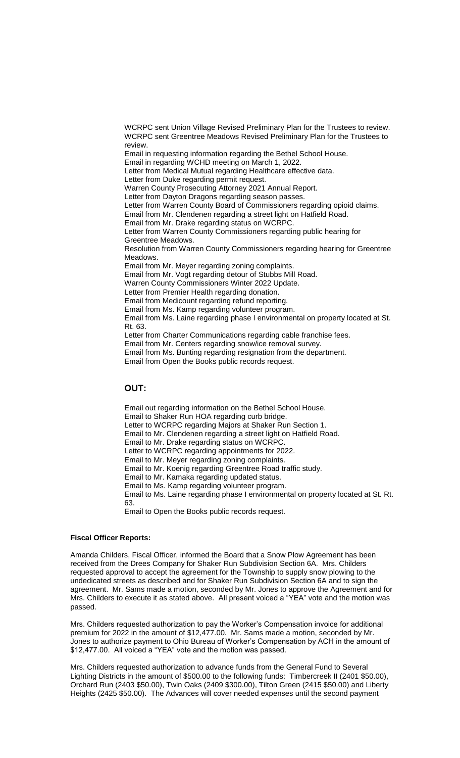WCRPC sent Union Village Revised Preliminary Plan for the Trustees to review. WCRPC sent Greentree Meadows Revised Preliminary Plan for the Trustees to review. Email in requesting information regarding the Bethel School House. Email in regarding WCHD meeting on March 1, 2022.

Letter from Medical Mutual regarding Healthcare effective data.

Letter from Duke regarding permit request.

Warren County Prosecuting Attorney 2021 Annual Report.

Letter from Dayton Dragons regarding season passes.

Letter from Warren County Board of Commissioners regarding opioid claims.

Email from Mr. Clendenen regarding a street light on Hatfield Road.

Email from Mr. Drake regarding status on WCRPC.

Letter from Warren County Commissioners regarding public hearing for Greentree Meadows.

Resolution from Warren County Commissioners regarding hearing for Greentree Meadows.

Email from Mr. Meyer regarding zoning complaints.

Email from Mr. Vogt regarding detour of Stubbs Mill Road.

Warren County Commissioners Winter 2022 Update.

Letter from Premier Health regarding donation.

Email from Medicount regarding refund reporting.

Email from Ms. Kamp regarding volunteer program.

Email from Ms. Laine regarding phase I environmental on property located at St. Rt. 63.

Letter from Charter Communications regarding cable franchise fees.

Email from Mr. Centers regarding snow/ice removal survey. Email from Ms. Bunting regarding resignation from the department.

Email from Open the Books public records request.

## **OUT:**

Email out regarding information on the Bethel School House. Email to Shaker Run HOA regarding curb bridge. Letter to WCRPC regarding Majors at Shaker Run Section 1. Email to Mr. Clendenen regarding a street light on Hatfield Road. Email to Mr. Drake regarding status on WCRPC. Letter to WCRPC regarding appointments for 2022. Email to Mr. Meyer regarding zoning complaints. Email to Mr. Koenig regarding Greentree Road traffic study. Email to Mr. Kamaka regarding updated status. Email to Ms. Kamp regarding volunteer program. Email to Ms. Laine regarding phase I environmental on property located at St. Rt. 63. Email to Open the Books public records request.

#### **Fiscal Officer Reports:**

Amanda Childers, Fiscal Officer, informed the Board that a Snow Plow Agreement has been received from the Drees Company for Shaker Run Subdivision Section 6A. Mrs. Childers requested approval to accept the agreement for the Township to supply snow plowing to the undedicated streets as described and for Shaker Run Subdivision Section 6A and to sign the agreement. Mr. Sams made a motion, seconded by Mr. Jones to approve the Agreement and for Mrs. Childers to execute it as stated above. All present voiced a "YEA" vote and the motion was passed.

Mrs. Childers requested authorization to pay the Worker's Compensation invoice for additional premium for 2022 in the amount of \$12,477.00. Mr. Sams made a motion, seconded by Mr. Jones to authorize payment to Ohio Bureau of Worker's Compensation by ACH in the amount of \$12,477.00. All voiced a "YEA" vote and the motion was passed.

Mrs. Childers requested authorization to advance funds from the General Fund to Several Lighting Districts in the amount of \$500.00 to the following funds: Timbercreek II (2401 \$50.00), Orchard Run (2403 \$50.00), Twin Oaks (2409 \$300.00), Tilton Green (2415 \$50.00) and Liberty Heights (2425 \$50.00). The Advances will cover needed expenses until the second payment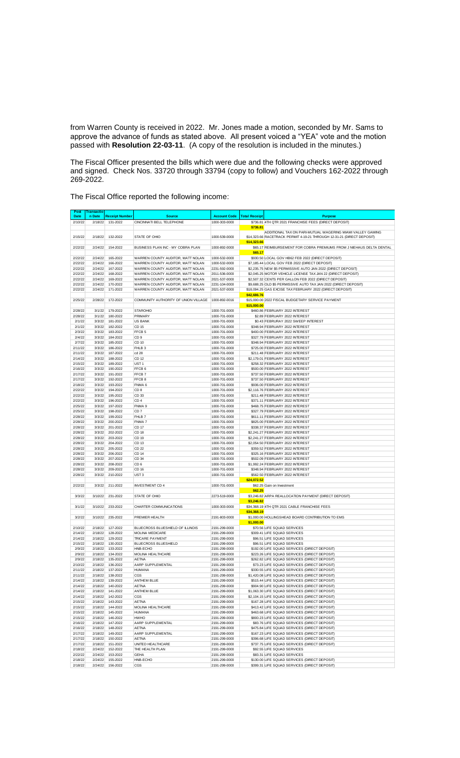from Warren County is received in 2022. Mr. Jones made a motion, seconded by Mr. Sams to approve the advance of funds as stated above. All present voiced a "YEA" vote and the motion passed with **Resolution 22-03-11**. (A copy of the resolution is included in the minutes.)

The Fiscal Officer presented the bills which were due and the following checks were approved and signed. Check Nos. 33720 through 33794 (copy to follow) and Vouchers 162-2022 through 269-2022.

The Fiscal Office reported the following income:

| Post<br><b>Date</b> | Transactio<br>n Date | <b>Receipt Number</b> | <b>Source</b>                                                          | <b>Account Code</b>            | <b>Total Receipt</b> | Purpose                                                                                                                              |
|---------------------|----------------------|-----------------------|------------------------------------------------------------------------|--------------------------------|----------------------|--------------------------------------------------------------------------------------------------------------------------------------|
| 2/10/22             | 2/18/22              | 131-2022              | CINCINNATI BELL TELEPHONE                                              | 1000-303-0000                  |                      | \$736.81 4TH QTR 2021 FRANCHISE FEES (DIRECT DEPOSIT)                                                                                |
|                     |                      |                       |                                                                        |                                | \$736.81             |                                                                                                                                      |
| 2/15/22             | 2/18/22              | 132-2022              | STATE OF OHIO                                                          | 1000-539-0000                  |                      | ADDITIONAL TAX ON PARI-MUTUAL WAGERING MIAMI VALLEY GAMING<br>\$14,323.66 RACETRACK PERMIT 4-19-21 THROUGH 12-31-21 (DIRECT DEPOSIT) |
|                     |                      |                       |                                                                        |                                | \$14,323,66          |                                                                                                                                      |
| 2/22/22             | 2/24/22              | 154-2022              | BUSINESS PLAN INC - MY COBRA PLAN                                      | 1000-892-0000                  |                      | \$65.17 REIMBURSEMENT FOR COBRA PREMIUMS FROM J NIEHAUS DELTA DENTAL                                                                 |
|                     |                      |                       | WARREN COUNTY AUDITOR. MATT NOLAN                                      |                                | \$65.17              |                                                                                                                                      |
| 2/22/22<br>2/22/22  | 2/24/22<br>2/24/22   | 165-2022<br>166-2022  | WARREN COUNTY AUDITOR, MATT NOLAN                                      | 1000-532-0000<br>1000-532-0000 |                      | \$930.50 LOCAL GOV HB62 FEB 2022 (DIRECT DEPOSIT)<br>\$7,185.44 LOCAL GOV FEB 2022 (DIRECT DEPOSIT)                                  |
| 2/22/22             | 2/24/22              | 167-2022              | WARREN COUNTY AUDITOR, MATT NOLAN                                      | 2231-592-0000                  |                      | \$2,235.75 NEW \$5 PERMISSIVE AUTO JAN 2022 (DIRECT DEPOSIT)                                                                         |
| 2/22/22             | 2/24/22              | 168-2022              | WARREN COUNTY AUDITOR, MATT NOLAN                                      | 2011-536-0000                  |                      | \$2,045.25 MOTOR VEHICLE LICENSE TAX JAN 22 (DIRECT DEPOSIT)                                                                         |
| 2/22/22             | 2/24/22              | 169-2022              | WARREN COUNTY AUDITOR, MATT NOLAN                                      | 2021-537-0000                  |                      | \$2,507.32 CENTS PER GALLON FEB 2022 (DIRECT DEPOSIT)                                                                                |
| 2/22/22<br>2/22/22  | 2/24/22<br>2/24/22   | 170-2022<br>171-2022  | WARREN COUNTY AUDITOR, MATT NOLAN<br>WARREN COUNTY AUDITOR, MATT NOLAN | 2231-104-0000<br>2021-537-0000 |                      | \$9,688.25 OLD \$5 PERMISSIVE AUTO TAX JAN 2022 (DIRECT DEPOSIT)<br>\$18,094.25 GAS EXCISE TAX FEBRUARY 2022 (DIRECT DEPOSIT)        |
|                     |                      |                       |                                                                        |                                | \$42,686.76          |                                                                                                                                      |
| 2/25/22             | 2/28/22              | 172-2022              | COMMUNITY AUTHORITY OF UNION VILLAGE                                   | 1000-892-0016                  |                      | \$15,000.00 2022 FISCAL BUDGETARY SERVICE PAYMENT                                                                                    |
|                     |                      |                       |                                                                        |                                | \$15,000.00          |                                                                                                                                      |
| 2/28/22<br>2/28/22  | 3/1/22<br>3/1/22     | 179-2022              | <b>STAROHIO</b><br>PRIMARY                                             | 1000-701-0000<br>1000-701-0000 |                      | \$460.86 FEBRUARY 2022 INTEREST                                                                                                      |
| 2/1/22              | 3/3/22               | 180-2022<br>181-2022  | <b>US BANK</b>                                                         | 1000-701-0000                  |                      | \$2.89 FEBRUARY 2022 INTEREST<br>\$0.43 FEBRURAY 2022 SWEEP INTEREST                                                                 |
| 2/1/22              | 3/3/22               | 182-2022              | CD 15                                                                  | 1000-701-0000                  |                      | \$348.94 FEBRUARY 2022 INTEREST                                                                                                      |
| 2/3/22              | 3/3/22               | 183-2022              | FFCB <sub>5</sub>                                                      | 1000-701-0000                  |                      | \$400.00 FEBRUARY 2022 INTEREST                                                                                                      |
| 2/4/22              | 3/3/22               | 184-2022              | CD <sub>9</sub>                                                        | 1000-701-0000                  |                      | \$327.79 FEBRUARY 2022 INTEREST                                                                                                      |
| 2/7/22<br>2/11/22   | 3/3/22<br>3/3/22     | 185-2022<br>186-2022  | CD 10<br>FHLB <sub>3</sub>                                             | 1000-701-0000<br>1000-701-0000 |                      | \$348.94 FEBRUARY 2022 INTEREST<br>\$725.00 FEBRUARY 2022 INTEREST                                                                   |
| 2/11/22             | 3/3/22               | 187-2022              | cd 28                                                                  | 1000-701-0000                  |                      | \$211.48 FEBRUARY 2022 INTEREST                                                                                                      |
| 2/14/22             | 3/3/22               | 188-2022              | CD 12                                                                  | 1000-701-0000                  |                      | \$2,179.01 FEBRUARY 2022 INTEREST                                                                                                    |
| 2/15/22             | 3/3/22               | 189-2022              | UST <sub>1</sub>                                                       | 1000-701-0000                  |                      | \$258.32 FEBRUARY 2022 INTEREST                                                                                                      |
| 2/16/22             | 3/3/22               | 190-2022              | FFCB <sub>6</sub>                                                      | 1000-701-0000                  |                      | \$500.00 FEBRUARY 2022 INTEREST                                                                                                      |
| 2/17/22<br>2/17/22  | 3/3/22<br>3/3/22     | 191-2022<br>192-2022  | FFCB 7<br>FFCB <sub>8</sub>                                            | 1000-701-0000<br>1000-701-0000 |                      | \$737.50 FEBRUARY 2022 INTEREST<br>\$737.50 FEBRUARY 2022 INTEREST                                                                   |
| 2/18/22             | 3/3/22               | 193-2022              | FNMA 6                                                                 | 1000-701-0000                  |                      | \$936.00 FEBRUARY 2022 INTEREST                                                                                                      |
| 2/22/22             | 3/3/22               | 194-2022              | CD <sub>8</sub>                                                        | 1000-701-0000                  |                      | \$2,116.76 FEBRUARY 2022 INTEREST                                                                                                    |
| 2/22/22             | 3/3/22               | 195-2022              | CD 33                                                                  | 1000-701-0000                  |                      | \$211.48 FEBRUARY 2022 INTEREST                                                                                                      |
| 2/22/22             | 3/3/22               | 196-2022              | CD <sub>4</sub>                                                        | 1000-701-0000                  |                      | \$371.11 FEBRUARY 2022 INTEREST                                                                                                      |
| 2/25/22<br>2/25/22  | 3/3/22<br>3/3/22     | 197-2022<br>198-2022  | FNMA 9<br>CD <sub>7</sub>                                              | 1000-701-0000<br>1000-701-0000 |                      | \$468.75 FEBRUARY 2022 INTEREST<br>\$327.79 FEBRUARY 2022 INTEREST                                                                   |
| 2/28/22             | 3/3/22               | 199-2022              | FHI <sub>B</sub> 7                                                     | 1000-701-0000                  |                      | \$611.11 FEBRUARY 2022 INTEREST                                                                                                      |
| 2/28/22             | 3/3/22               | 200-2022              | FNMA 7                                                                 | 1000-701-0000                  |                      | \$825.00 FEBRUARY 2022 INTEREST                                                                                                      |
| 2/28/22             | 3/3/22               | 201-2022              | CD 17                                                                  | 1000-701-0000                  |                      | \$338.37 FEBRUARY 2022 INTEREST                                                                                                      |
| 2/28/22             | 3/3/22               | 202-2022              | CD 18                                                                  | 1000-701-0000                  |                      | \$2,241.27 FEBRUARY 2022 INTEREST                                                                                                    |
| 2/28/22<br>2/28/22  | 3/3/22<br>3/3/22     | 203-2022<br>204-2022  | CD 19<br>CD 13                                                         | 1000-701-0000<br>1000-701-0000 |                      | \$2,241.27 FEBRUARY 2022 INTEREST<br>\$2,054.50 FEBRUARY 2022 INTEREST                                                               |
| 2/28/22             | 3/3/22               | 205-2022              | CD 22                                                                  | 1000-701-0000                  |                      | \$359.52 FEBRUARY 2022 INTEREST                                                                                                      |
| 2/28/22             | 3/3/22               | 206-2022              | CD 14                                                                  | 1000-701-0000                  |                      | \$325.16 FEBRUARY 2022 INTEREST                                                                                                      |
| 2/28/22             | 3/3/22               | 207-2022              | CD 34                                                                  | 1000-701-0000                  |                      | \$502.09 FEBRUARY 2022 INTEREST                                                                                                      |
| 2/28/22<br>2/28/22  | 3/3/22<br>3/3/22     | 208-2022<br>209-2022  | CD <sub>6</sub><br>CD 16                                               | 1000-701-0000<br>1000-701-0000 |                      | \$1,992.24 FEBRUARY 2022 INTEREST<br>\$348.94 FEBRUARY 2022 INTEREST                                                                 |
| 2/28/22             | 3/3/22               | 210-2022              | UST <sub>3</sub>                                                       | 1000-701-0000                  |                      | \$562.50 FEBRUARY 2022 INTEREST                                                                                                      |
|                     |                      |                       |                                                                        |                                | \$24,072.52          |                                                                                                                                      |
| 2/22/22             | 3/3/22               | 211-2022              | <b>INVESTMENT CD 4</b>                                                 | 1000-701-0000                  |                      | \$62.25 Gain on Investment                                                                                                           |
| 3/3/22              |                      |                       | STATE OF OHIO                                                          | 2273-519-0000                  | \$62.25              |                                                                                                                                      |
|                     | 3/10/22              | 231-2022              |                                                                        |                                | \$3,246,82           | \$3,246.82 ARPA REALLOCATION PAYMENT (DIRECT DEPOSIT)                                                                                |
| 3/1/22              | 3/10/22              | 233-2022              | CHARTER COMMUNICATIONS                                                 | 1000-303-0000                  |                      | \$34,368.19 4TH QTR 2021 CABLE FRANCHISE FEES                                                                                        |
|                     |                      |                       |                                                                        |                                | \$34.368.19          |                                                                                                                                      |
| 3/2/22              | 3/10/22              | 235-2022              | PREMIER HEALTH                                                         | 2191-803-0000                  |                      | \$1,000.00 HOLLINGSHEAD BOARD CONTRIBUTION TO EMS                                                                                    |
| 2/10/22             | 2/18/22              | 127-2022              | BLUECROSS BLUESHIELD OF ILLINOIS                                       | 2191-299-0000                  | \$1,000.00           | \$70.56 LIFE SQUAD SERVICES                                                                                                          |
| 2/14/22             | 2/18/22              | 128-2022              | MOLINA MEDICARE                                                        | 2191-299-0000                  |                      | \$309.41 LIFE SQUAD SERVICES                                                                                                         |
| 2/14/22             | 2/18/22              | 129-2022              | <b>TRICARE PAYMENT</b>                                                 | 2191-299-0000                  |                      | \$96.51 LIFE SQUAD SERVICES                                                                                                          |
| 2/15/22             | 2/18/22              | 130-2022              | <b>BLUECROSS BLUESHIELD</b>                                            | 2191-299-0000                  |                      | \$96.51 LIFE SQUAD SERVICES                                                                                                          |
| 2/9/22              | 2/18/22              | 133-2022              | HNB-ECHO                                                               | 2191-299-0000                  |                      | \$192.00 LIFE SQUAD SERVICES (DIRECT DEPOSIT)<br>\$223.26 LIFE SQUAD SERVICES (DIRECT DEPOSIT)                                       |
| 2/9/22<br>2/9/22    | 2/18/22<br>2/18/22   | 134-2022<br>135-2022  | MOLINA HEALTHCARE<br><b>AETNA</b>                                      | 2191-299-0000<br>2191-299-0000 |                      | \$262.82 LIFE SQUAD SERVICES (DIRECT DEPOSIT)                                                                                        |
| 2/10/22             | 2/18/22              | 136-2022              | AARP SUPPLEMENTAL                                                      | 2191-299-0000                  |                      | \$73.23 LIFE SQUAD SERVICES (DIRECT DEPOSIT)                                                                                         |
| 2/11/22             | 2/18/22              | 137-2022              | <b>HUMANA</b>                                                          | 2191-299-0000                  |                      | \$330.55 LIFE SQUAD SERVICES (DIRECT DEPOSIT)                                                                                        |
| 2/11/22             | 2/18/22              | 138-2022              | CGS                                                                    | 2191-299-0000                  |                      | \$1,420.08 LIFE SQUAD SERVICES (DIRECT DEPOSIT)                                                                                      |
| 2/14/22<br>2/14/22  | 2/18/22              | 139-2022              | ANTHEM BLUE                                                            | 2191-299-0000                  |                      | \$515.44 LIFE SQUAD SERVICES (DIRECT DEPOSIT)<br>\$904.90 LIFE SQUAD SERVICES (DIRECT DEPOSIT)                                       |
| 2/14/22             | 2/18/22<br>2/18/22   | 140-2022<br>141-2022  | <b>AETNA</b><br>ANTHEM BLUE                                            | 2191-299-0000<br>2191-299-0000 |                      | \$1,063.30 LIFE SQUAD SERVICES (DIRECT DEPOSIT)                                                                                      |
| 2/14/22             | 2/18/22              | 142-2022              | CGS                                                                    | 2191-299-0000                  |                      | \$2,104.15 LIFE SQUAD SERVICES (DIRECT DEPOSIT)                                                                                      |
| 2/15/22             | 2/18/22              | 143-2022              | <b>AETNA</b>                                                           | 2191-299-0000                  |                      | \$167.28 LIFE SQUAD SERVICES (DIRECT DEPOSIT)                                                                                        |
| 2/15/22             | 2/18/22              | 144-2022              | MOLINA HEALTHCARE                                                      | 2191-299-0000                  |                      | \$413.42 LIFE SQUAD SERVICES (DIRECT DEPOSIT)                                                                                        |
| 2/15/22<br>2/15/22  | 2/18/22<br>2/18/22   | 145-2022<br>146-2022  | <b>HUMANA</b><br><b>HWHO</b>                                           | 2191-299-0000<br>2191-299-0000 |                      | \$463.68 LIFE SQUAD SERVICES (DIRECT DEPOSIT)<br>\$800.23 LIFE SQUAD SERVICES (DIRECT DEPOSIT)                                       |
| 2/16/22             | 2/18/22              | 147-2022              | AARP SUPPLEMENTAL                                                      | 2191-299-0000                  |                      | \$83.76 LIFE SQUAD SERVICES (DIRECT DEPOSIT)                                                                                         |
| 2/16/22             | 2/18/22              | 148-2022              | <b>AETNA</b>                                                           | 2191-299-0000                  |                      | \$475.84 LIFE SQUAD SERVICES (DIRECT DEPOSIT)                                                                                        |
| 2/17/22             | 2/18/22              | 149-2022              | AARP SUPPLEMENTAL                                                      | 2191-299-0000                  |                      | \$167.23 LIFE SQUAD SERVICES (DIRECT DEPOSIT)                                                                                        |
| 2/17/22<br>2/17/22  | 2/18/22              | 150-2022              | <b>AETNA</b>                                                           | 2191-299-0000                  |                      | \$396.68 LIFE SQUAD SERVICES (DIRECT DEPOSIT)<br>\$737.75 LIFE SQUAD SERVICES (DIRECT DEPOSIT)                                       |
| 2/18/22             | 2/18/22<br>2/24/22   | 151-2022<br>152-2022  | UNITED HEALTHCARE<br>THE HEALTH PLAN                                   | 2191-299-0000<br>2191-299-0000 |                      | \$92.55 LIFE SQUAD SERVICES                                                                                                          |
| 2/22/22             | 2/24/22              | 153-2022              | <b>GEHA</b>                                                            | 2191-299-0000                  |                      | \$83.31 LIFE SQUAD SERVICES                                                                                                          |
| 2/18/22             | 2/24/22              | 155-2022              | HNB-ECHO                                                               | 2191-299-0000                  |                      | \$130.00 LIFE SQUAD SERVICES (DIRECT DEPOSIT)                                                                                        |
| 2/18/22             | 2/24/22              | 156-2022              | CGS                                                                    | 2191-299-0000                  |                      | \$399.31 LIFE SQUAD SERVICES (DIRECT DEPOSIT)                                                                                        |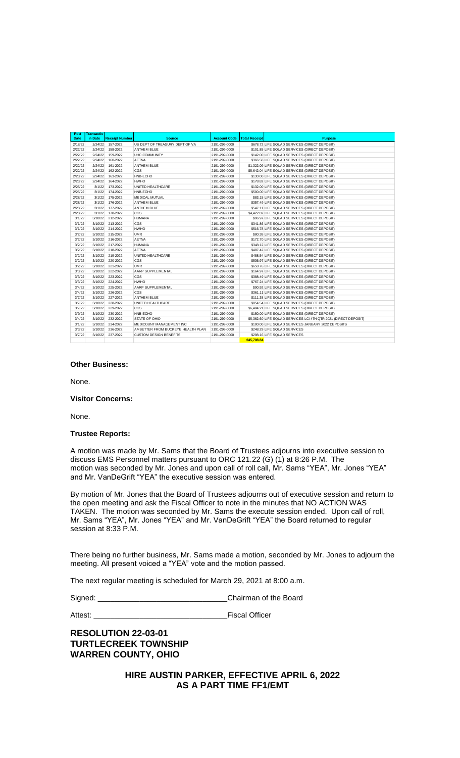| Post    | <b>Transactio</b> |                       |                                   |                     |                      |                                                                  |
|---------|-------------------|-----------------------|-----------------------------------|---------------------|----------------------|------------------------------------------------------------------|
| Date    | n Date            | <b>Receipt Number</b> | <b>Source</b>                     | <b>Account Code</b> | <b>Total Receipt</b> | <b>Purpose</b>                                                   |
| 2/18/22 | 2/24/22           | 157-2022              | US DEPT OF TREASURY DEPT OF VA    | 2191-299-0000       |                      | \$678.72 LIFE SQUAD SERVICES (DIRECT DEPOSIT)                    |
| 2122122 | 2/24/22           | 158-2022              | ANTHEM BLUE                       | 2191-299-0000       |                      | \$101.85 LIFE SQUAD SERVICES (DIRECT DEPOSIT)                    |
| 2/22/22 | 2/24/22           | 159-2022              | <b>UHC COMMUNITY</b>              | 2191-299-0000       |                      | \$142,00 LIFE SQUAD SERVICES (DIRECT DEPOSIT)                    |
| 2/22/22 | 2/24/22           | 160-2022              | <b>AFTNA</b>                      | 2191-299-0000       |                      | \$366,58 LIFE SQUAD SERVICES (DIRECT DEPOSIT)                    |
| 2/22/22 | 2/24/22           | 161-2022              | ANTHEM BLUE                       | 2191-299-0000       |                      | \$1,322.09 LIFE SQUAD SERVICES (DIRECT DEPOSIT)                  |
| 2/22/22 | 2/24/22           | 162-2022              | CGS                               | 2191-299-0000       |                      | \$5,642.04 LIFE SQUAD SERVICES (DIRECT DEPOSIT)                  |
| 2/23/22 | 2/24/22           | 163-2022              | HNB-ECHO                          | 2191-299-0000       |                      | \$130.00 LIFE SQUAD SERVICES (DIRECT DEPOSIT)                    |
| 2/23/22 | 2/24/22           | 164-2022              | <b>HWHO</b>                       | 2191-299-0000       |                      | \$178.82 LIFE SQUAD SERVICES (DIRECT DEPOSIT)                    |
| 2/25/22 | 3/1/22            | 173-2022              | UNITED HEALTHCARE                 | 2191-299-0000       |                      | \$132.00 LIFE SQUAD SERVICES (DIRECT DEPOSIT)                    |
| 2/25/22 | 3/1/22            | 174-2022              | HNB-ECHO                          | 2191-299-0000       |                      | \$500,00 LIFE SQUAD SERVICES (DIRECT DEPOSIT)                    |
| 2/28/22 | 3/1/22            | 175-2022              | <b>MEDICAL MUTUAL</b>             | 2191-299-0000       |                      | \$83.15 LIFE SQUAD SERVICES (DIRECT DEPOSIT)                     |
| 2/28/22 | 3/1/22            | 176-2022              | ANTHEM BLUF                       | 2191-299-0000       |                      | \$357.49 LIFE SQUAD SERVICES (DIRECT DEPOSIT)                    |
| 2/28/22 | 3/1/22            | 177-2022              | ANTHEM BLUF                       | 2191-299-0000       |                      | \$547.11 LIFE SQUAD SERVICES (DIRECT DEPOSIT)                    |
| 2/28/22 | 3/1/22            | 178-2022              | CGS.                              | 2191-299-0000       |                      | \$4,422.82 LIFE SQUAD SERVICES (DIRECT DEPOSIT)                  |
| 3/1/22  | 3/10/22           | 212-2022              | <b>HUMANA</b>                     | 2191-299-0000       |                      | \$96.97 LIFE SQUAD SERVICES (DIRECT DEPOSIT)                     |
| 3/1/22  | 3/10/22           | 213-2022              | CGS                               | 2191-299-0000       |                      | \$341.86 LIFE SQUAD SERVICES (DIRECT DEPOSIT)                    |
| 3/1/22  | 3/10/22           | 214-2022              | <b>HWHO</b>                       | 2191-299-0000       |                      | \$516,78 LIFE SQUAD SERVICES (DIRECT DEPOSIT)                    |
| 3/2/22  | 3/10/22           | 215-2022              | <b>UMR</b>                        | 2191-299-0000       |                      | \$80.38 LIFE SQUAD SERVICES (DIRECT DEPOSIT)                     |
| 3/2/22  | 3/10/22           | 216-2022              | <b>AFTNA</b>                      | 2191-299-0000       |                      | \$172.70 LIFE SQUAD SERVICES (DIRECT DEPOSIT)                    |
| 3/2/22  | 3/10/22           | 217-2022              | <b>HUMANA</b>                     | 2191-299-0000       |                      | \$348.12 LIFE SQUAD SERVICES (DIRECT DEPOSIT)                    |
| 3/2/22  | 3/10/22           | 218-2022              | <b>AFTNA</b>                      | 2191-299-0000       |                      | \$487.42 LIFE SQUAD SERVICES (DIRECT DEPOSIT)                    |
| 3/2/22  | 3/10/22           | 219-2022              | UNITED HEALTHCARE                 | 2191-299-0000       |                      | \$488.54 LIFE SQUAD SERVICES (DIRECT DEPOSIT)                    |
| 3/2/22  | 3/10/22           | 220-2022              | CGS                               | 2191-299-0000       |                      | \$536.97 LIFE SQUAD SERVICES (DIRECT DEPOSIT)                    |
| 3/2/22  | 3/10/22           | 221-2022              | <b>UMR</b>                        | 2191-299-0000       |                      | \$658.76 LIFE SQUAD SERVICES (DIRECT DEPOSIT)                    |
| 3/3/22  | 3/10/22           | 222-2022              | AARP SUPPLEMENTAL                 | 2191-299-0000       |                      | \$164.97 LIFE SQUAD SERVICES (DIRECT DEPOSIT)                    |
| 3/3/22  | 3/10/22           | 223-2022              | CGS                               | 2191-299-0000       |                      | \$388.49 LIFE SQUAD SERVICES (DIRECT DEPOSIT)                    |
| 3/3/22  | 3/10/22           | 224-2022              | <b>HWHO</b>                       | 2191-299-0000       |                      | \$767.24 LIFE SQUAD SERVICES (DIRECT DEPOSIT)                    |
| 3/4/22  | 3/10/22           | 225-2022              | AARP SUPPLEMENTAL                 | 2191-299-0000       |                      | \$90.92 LIFE SQUAD SERVICES (DIRECT DEPOSIT)                     |
| 3/4/22  | 3/10/22           | 226-2022              | CGS                               | 2191-299-0000       |                      | \$361.11 LIFE SQUAD SERVICES (DIRECT DEPOSIT)                    |
| 3/7/22  | 3/10/22           | 227-2022              | <b>ANTHEM BLUE</b>                | 2191-299-0000       |                      | \$111.38 LIFE SQUAD SERVICES (DIRECT DEPOSIT)                    |
| 3/7/22  | 3/10/22           | 228-2022              | UNITED HEALTHCARE                 | 2191-299-0000       |                      | \$854.54 LIFE SQUAD SERVICES (DIRECT DEPOSIT)                    |
| 3/7/22  | 3/10/22           | 229-2022              | CGS.                              | 2191-299-0000       |                      | \$6,404.21 LIFE SQUAD SERVICES (DIRECT DEPOSIT)                  |
| 3/9/22  | 3/10/22           | 230-2022              | HNB-FCHO                          | 2191-299-0000       |                      | \$150.00 LIFE SQUAD SERVICES (DIRECT DEPOSIT)                    |
| 3/4/22  | 3/10/22           | 232-2022              | STATE OF OHIO                     | 2191-299-0000       |                      | \$5,362.60 LIFE SQUAD SERVICES LCI 4TH QTR 2021 (DIRECT DEPOSIT) |
| 3/1/22  | 3/10/22           | 234-2022              | MEDICOUNT MANAGEMENT INC          | 2191-299-0000       |                      | \$100.00 LIFE SQUAD SERVICES JANUARY 2022 DEPOSITS               |
| 3/3/22  | 3/10/22           | 236-2022              | AMBETTER FROM BUCKEYE HEALTH PLAN | 2191-299-0000       |                      | \$248.29 LIFE SQUAD SERVICES                                     |
| 3/7/22  | 3/10/22           | 237-2022              | <b>CUSTOM DESIGN BENEFITS</b>     | 2191-299-0000       |                      | \$298.16 LIFE SQUAD SERVICES                                     |
|         |                   |                       |                                   |                     | \$45,708.84          |                                                                  |

### **Other Business:**

None.

#### **Visitor Concerns:**

None.

#### **Trustee Reports:**

A motion was made by Mr. Sams that the Board of Trustees adjourns into executive session to discuss EMS Personnel matters pursuant to ORC 121.22 (G) (1) at 8:26 P.M. The motion was seconded by Mr. Jones and upon call of roll call, Mr. Sams "YEA", Mr. Jones "YEA" and Mr. VanDeGrift "YEA" the executive session was entered.

By motion of Mr. Jones that the Board of Trustees adjourns out of executive session and return to the open meeting and ask the Fiscal Officer to note in the minutes that NO ACTION WAS TAKEN. The motion was seconded by Mr. Sams the execute session ended. Upon call of roll, Mr. Sams "YEA", Mr. Jones "YEA" and Mr. VanDeGrift "YEA" the Board returned to regular session at 8:33 P.M.

There being no further business, Mr. Sams made a motion, seconded by Mr. Jones to adjourn the meeting. All present voiced a "YEA" vote and the motion passed.

The next regular meeting is scheduled for March 29, 2021 at 8:00 a.m.

Signed: \_\_\_\_\_\_\_\_\_\_\_\_\_\_\_\_\_\_\_\_\_\_\_\_\_\_\_\_\_\_\_Chairman of the Board

Attest: \_\_\_\_\_\_\_\_\_\_\_\_\_\_\_\_\_\_\_\_\_\_\_\_\_\_\_\_\_\_\_\_Fiscal Officer

# **RESOLUTION 22-03-01 TURTLECREEK TOWNSHIP WARREN COUNTY, OHIO**

**HIRE AUSTIN PARKER, EFFECTIVE APRIL 6, 2022 AS A PART TIME FF1/EMT**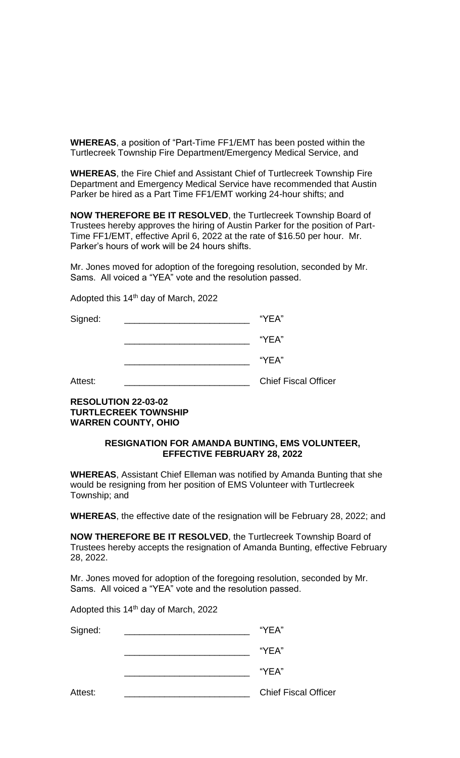**WHEREAS**, a position of "Part-Time FF1/EMT has been posted within the Turtlecreek Township Fire Department/Emergency Medical Service, and

**WHEREAS**, the Fire Chief and Assistant Chief of Turtlecreek Township Fire Department and Emergency Medical Service have recommended that Austin Parker be hired as a Part Time FF1/EMT working 24-hour shifts; and

**NOW THEREFORE BE IT RESOLVED**, the Turtlecreek Township Board of Trustees hereby approves the hiring of Austin Parker for the position of Part-Time FF1/EMT, effective April 6, 2022 at the rate of \$16.50 per hour. Mr. Parker's hours of work will be 24 hours shifts.

Mr. Jones moved for adoption of the foregoing resolution, seconded by Mr. Sams. All voiced a "YEA" vote and the resolution passed.

Adopted this 14<sup>th</sup> day of March, 2022

Signed: The Signed: The Signed of the Signed of the Signed of the Signed of the Signed of the Signed of the Signed of the Signed of the Signed of the Signed of the Signed of the Signed of the Signed of the Signed of the Si

 $"YEA"$ 

 $\mathsf{``YEA''}$ 

Attest: **Attest: Attest: Attest: Attest: Chief Fiscal Officer** 

# **RESOLUTION 22-03-02 TURTLECREEK TOWNSHIP WARREN COUNTY, OHIO**

## **RESIGNATION FOR AMANDA BUNTING, EMS VOLUNTEER, EFFECTIVE FEBRUARY 28, 2022**

**WHEREAS**, Assistant Chief Elleman was notified by Amanda Bunting that she would be resigning from her position of EMS Volunteer with Turtlecreek Township; and

**WHEREAS**, the effective date of the resignation will be February 28, 2022; and

**NOW THEREFORE BE IT RESOLVED**, the Turtlecreek Township Board of Trustees hereby accepts the resignation of Amanda Bunting, effective February 28, 2022.

Mr. Jones moved for adoption of the foregoing resolution, seconded by Mr. Sams. All voiced a "YEA" vote and the resolution passed.

Adopted this 14th day of March, 2022

| Signed: | "YEA"                       |
|---------|-----------------------------|
|         | "YEA"                       |
|         | "YEA"                       |
| Attest: | <b>Chief Fiscal Officer</b> |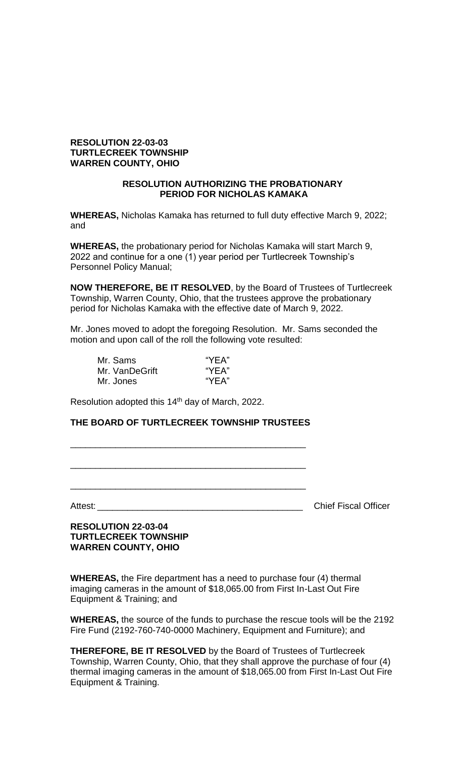# **RESOLUTION 22-03-03 TURTLECREEK TOWNSHIP WARREN COUNTY, OHIO**

## **RESOLUTION AUTHORIZING THE PROBATIONARY PERIOD FOR NICHOLAS KAMAKA**

**WHEREAS,** Nicholas Kamaka has returned to full duty effective March 9, 2022; and

**WHEREAS,** the probationary period for Nicholas Kamaka will start March 9, 2022 and continue for a one (1) year period per Turtlecreek Township's Personnel Policy Manual;

**NOW THEREFORE, BE IT RESOLVED**, by the Board of Trustees of Turtlecreek Township, Warren County, Ohio, that the trustees approve the probationary period for Nicholas Kamaka with the effective date of March 9, 2022.

Mr. Jones moved to adopt the foregoing Resolution. Mr. Sams seconded the motion and upon call of the roll the following vote resulted:

| Mr. Sams       | "YEA" |
|----------------|-------|
| Mr. VanDeGrift | "YEA" |
| Mr. Jones      | "YEA" |

Resolution adopted this 14<sup>th</sup> day of March, 2022.

## **THE BOARD OF TURTLECREEK TOWNSHIP TRUSTEES**

\_\_\_\_\_\_\_\_\_\_\_\_\_\_\_\_\_\_\_\_\_\_\_\_\_\_\_\_\_\_\_\_\_\_\_\_\_\_\_\_\_\_\_\_\_\_\_

\_\_\_\_\_\_\_\_\_\_\_\_\_\_\_\_\_\_\_\_\_\_\_\_\_\_\_\_\_\_\_\_\_\_\_\_\_\_\_\_\_\_\_\_\_\_\_

\_\_\_\_\_\_\_\_\_\_\_\_\_\_\_\_\_\_\_\_\_\_\_\_\_\_\_\_\_\_\_\_\_\_\_\_\_\_\_\_\_\_\_\_\_\_\_

Attest: **Attest: Attest: Attest: Attest: Attest: Attest: Attest: Attest: Attest: Attest: Attest: Attest: Attest: Attest: Attes: Attes: Attes: Attes: Attes: Attes: Attes: Attes: A** 

**RESOLUTION 22-03-04 TURTLECREEK TOWNSHIP WARREN COUNTY, OHIO**

**WHEREAS,** the Fire department has a need to purchase four (4) thermal imaging cameras in the amount of \$18,065.00 from First In-Last Out Fire Equipment & Training; and

**WHEREAS,** the source of the funds to purchase the rescue tools will be the 2192 Fire Fund (2192-760-740-0000 Machinery, Equipment and Furniture); and

**THEREFORE, BE IT RESOLVED** by the Board of Trustees of Turtlecreek Township, Warren County, Ohio, that they shall approve the purchase of four (4) thermal imaging cameras in the amount of \$18,065.00 from First In-Last Out Fire Equipment & Training.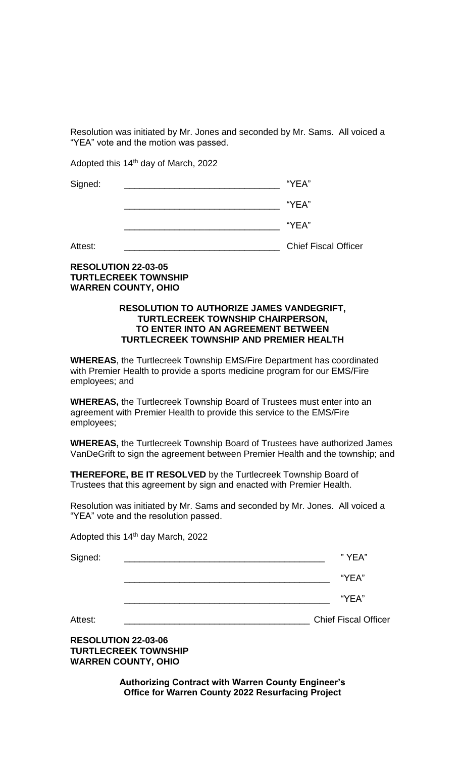Resolution was initiated by Mr. Jones and seconded by Mr. Sams. All voiced a "YEA" vote and the motion was passed.

Adopted this 14th day of March, 2022

| Signed: | "YEA" |  |
|---------|-------|--|
|         | "YEA" |  |
|         |       |  |

| . |
|---|
|   |

Attest: **We are all the contract of the Chief Fiscal Officer** 

# **RESOLUTION 22-03-05 TURTLECREEK TOWNSHIP WARREN COUNTY, OHIO**

## **RESOLUTION TO AUTHORIZE JAMES VANDEGRIFT, TURTLECREEK TOWNSHIP CHAIRPERSON, TO ENTER INTO AN AGREEMENT BETWEEN TURTLECREEK TOWNSHIP AND PREMIER HEALTH**

**WHEREAS**, the Turtlecreek Township EMS/Fire Department has coordinated with Premier Health to provide a sports medicine program for our EMS/Fire employees; and

**WHEREAS,** the Turtlecreek Township Board of Trustees must enter into an agreement with Premier Health to provide this service to the EMS/Fire employees;

**WHEREAS,** the Turtlecreek Township Board of Trustees have authorized James VanDeGrift to sign the agreement between Premier Health and the township; and

**THEREFORE, BE IT RESOLVED** by the Turtlecreek Township Board of Trustees that this agreement by sign and enacted with Premier Health.

Resolution was initiated by Mr. Sams and seconded by Mr. Jones. All voiced a "YEA" vote and the resolution passed.

Adopted this 14<sup>th</sup> day March, 2022

| Signed: | " YEA" |
|---------|--------|
|         | "YFA"  |

\_\_\_\_\_\_\_\_\_\_\_\_\_\_\_\_\_\_\_\_\_\_\_\_\_\_\_\_\_\_\_\_\_\_\_\_\_\_\_\_\_ "YEA"

Attest: \_\_\_\_\_\_\_\_\_\_\_\_\_\_\_\_\_\_\_\_\_\_\_\_\_\_\_\_\_\_\_\_\_\_\_\_\_ Chief Fiscal Officer

**RESOLUTION 22-03-06 TURTLECREEK TOWNSHIP WARREN COUNTY, OHIO**

> **Authorizing Contract with Warren County Engineer's Office for Warren County 2022 Resurfacing Project**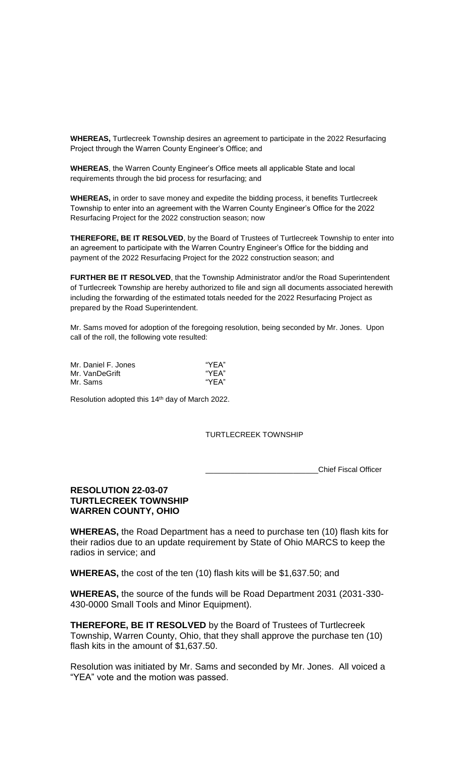**WHEREAS,** Turtlecreek Township desires an agreement to participate in the 2022 Resurfacing Project through the Warren County Engineer's Office; and

**WHEREAS**, the Warren County Engineer's Office meets all applicable State and local requirements through the bid process for resurfacing; and

**WHEREAS,** in order to save money and expedite the bidding process, it benefits Turtlecreek Township to enter into an agreement with the Warren County Engineer's Office for the 2022 Resurfacing Project for the 2022 construction season; now

**THEREFORE, BE IT RESOLVED**, by the Board of Trustees of Turtlecreek Township to enter into an agreement to participate with the Warren Country Engineer's Office for the bidding and payment of the 2022 Resurfacing Project for the 2022 construction season; and

**FURTHER BE IT RESOLVED**, that the Township Administrator and/or the Road Superintendent of Turtlecreek Township are hereby authorized to file and sign all documents associated herewith including the forwarding of the estimated totals needed for the 2022 Resurfacing Project as prepared by the Road Superintendent.

Mr. Sams moved for adoption of the foregoing resolution, being seconded by Mr. Jones. Upon call of the roll, the following vote resulted:

| Mr. Daniel F. Jones | "YEA" |
|---------------------|-------|
| Mr. VanDeGrift      | "YFA" |
| Mr. Sams            | "YEA" |

Resolution adopted this 14th day of March 2022.

### TURTLECREEK TOWNSHIP

\_\_\_\_\_\_\_\_\_\_\_\_\_\_\_\_\_\_\_\_\_\_\_\_\_\_\_Chief Fiscal Officer

# **RESOLUTION 22-03-07 TURTLECREEK TOWNSHIP WARREN COUNTY, OHIO**

**WHEREAS,** the Road Department has a need to purchase ten (10) flash kits for their radios due to an update requirement by State of Ohio MARCS to keep the radios in service; and

**WHEREAS,** the cost of the ten (10) flash kits will be \$1,637.50; and

**WHEREAS,** the source of the funds will be Road Department 2031 (2031-330- 430-0000 Small Tools and Minor Equipment).

**THEREFORE, BE IT RESOLVED** by the Board of Trustees of Turtlecreek Township, Warren County, Ohio, that they shall approve the purchase ten (10) flash kits in the amount of \$1,637.50.

Resolution was initiated by Mr. Sams and seconded by Mr. Jones. All voiced a "YEA" vote and the motion was passed.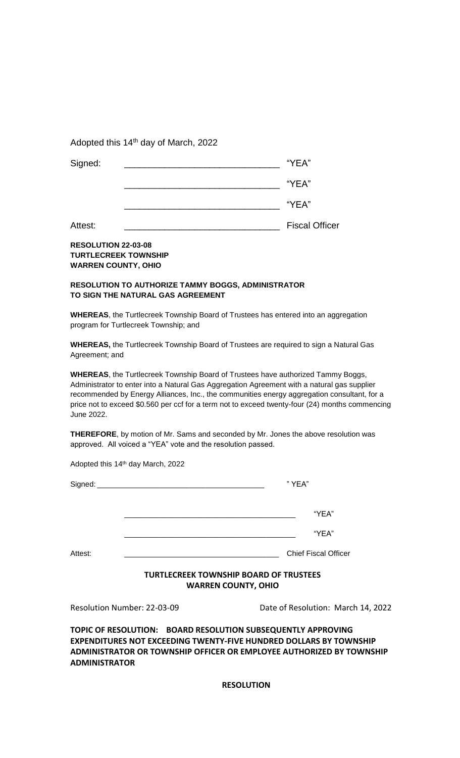Adopted this 14<sup>th</sup> day of March, 2022

| Signed: | "YEA"                 |
|---------|-----------------------|
|         | "YEA"                 |
|         | "YEA"                 |
| Attest: | <b>Fiscal Officer</b> |

## **RESOLUTION 22-03-08 TURTLECREEK TOWNSHIP WARREN COUNTY, OHIO**

## **RESOLUTION TO AUTHORIZE TAMMY BOGGS, ADMINISTRATOR TO SIGN THE NATURAL GAS AGREEMENT**

**WHEREAS**, the Turtlecreek Township Board of Trustees has entered into an aggregation program for Turtlecreek Township; and

**WHEREAS,** the Turtlecreek Township Board of Trustees are required to sign a Natural Gas Agreement; and

**WHEREAS**, the Turtlecreek Township Board of Trustees have authorized Tammy Boggs, Administrator to enter into a Natural Gas Aggregation Agreement with a natural gas supplier recommended by Energy Alliances, Inc., the communities energy aggregation consultant, for a price not to exceed \$0.560 per ccf for a term not to exceed twenty-four (24) months commencing June 2022.

**THEREFORE**, by motion of Mr. Sams and seconded by Mr. Jones the above resolution was approved. All voiced a "YEA" vote and the resolution passed.

Adopted this 14th day March, 2022

|         |                                                                             | "YEA"                       |
|---------|-----------------------------------------------------------------------------|-----------------------------|
|         |                                                                             | "YEA"                       |
|         |                                                                             | "YEA"                       |
| Attest: |                                                                             | <b>Chief Fiscal Officer</b> |
|         | <b>TURTLECREEK TOWNSHIP BOARD OF TRUSTEES</b><br><b>WARREN COUNTY, OHIO</b> |                             |

Resolution Number: 22-03-09 Date of Resolution: March 14, 2022

**TOPIC OF RESOLUTION: BOARD RESOLUTION SUBSEQUENTLY APPROVING EXPENDITURES NOT EXCEEDING TWENTY-FIVE HUNDRED DOLLARS BY TOWNSHIP ADMINISTRATOR OR TOWNSHIP OFFICER OR EMPLOYEE AUTHORIZED BY TOWNSHIP ADMINISTRATOR**

**RESOLUTION**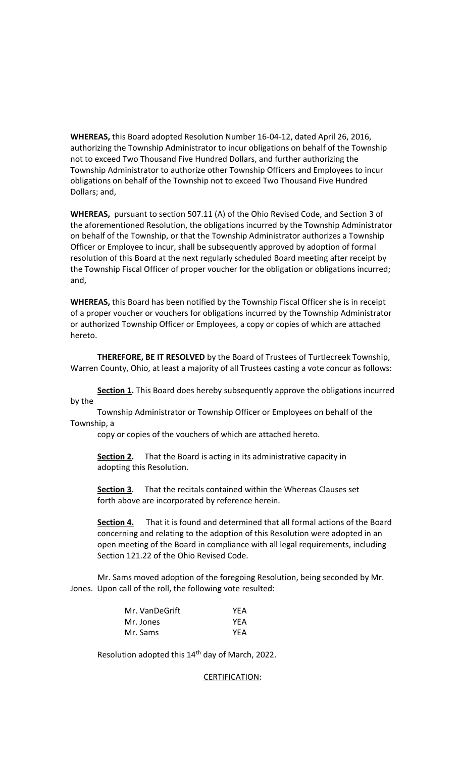**WHEREAS,** this Board adopted Resolution Number 16-04-12, dated April 26, 2016, authorizing the Township Administrator to incur obligations on behalf of the Township not to exceed Two Thousand Five Hundred Dollars, and further authorizing the Township Administrator to authorize other Township Officers and Employees to incur obligations on behalf of the Township not to exceed Two Thousand Five Hundred Dollars; and,

**WHEREAS,** pursuant to section 507.11 (A) of the Ohio Revised Code, and Section 3 of the aforementioned Resolution, the obligations incurred by the Township Administrator on behalf of the Township, or that the Township Administrator authorizes a Township Officer or Employee to incur, shall be subsequently approved by adoption of formal resolution of this Board at the next regularly scheduled Board meeting after receipt by the Township Fiscal Officer of proper voucher for the obligation or obligations incurred; and,

**WHEREAS,** this Board has been notified by the Township Fiscal Officer she is in receipt of a proper voucher or vouchers for obligations incurred by the Township Administrator or authorized Township Officer or Employees, a copy or copies of which are attached hereto.

**THEREFORE, BE IT RESOLVED** by the Board of Trustees of Turtlecreek Township, Warren County, Ohio, at least a majority of all Trustees casting a vote concur as follows:

**Section 1.** This Board does hereby subsequently approve the obligations incurred by the

Township Administrator or Township Officer or Employees on behalf of the Township, a

copy or copies of the vouchers of which are attached hereto.

**Section 2.** That the Board is acting in its administrative capacity in adopting this Resolution.

**Section 3**. That the recitals contained within the Whereas Clauses set forth above are incorporated by reference herein.

**Section 4.** That it is found and determined that all formal actions of the Board concerning and relating to the adoption of this Resolution were adopted in an open meeting of the Board in compliance with all legal requirements, including Section 121.22 of the Ohio Revised Code.

Mr. Sams moved adoption of the foregoing Resolution, being seconded by Mr. Jones. Upon call of the roll, the following vote resulted:

| Mr. VanDeGrift | YEA |
|----------------|-----|
| Mr. Jones      | YEA |
| Mr. Sams       | YEA |

Resolution adopted this 14<sup>th</sup> day of March, 2022.

### CERTIFICATION: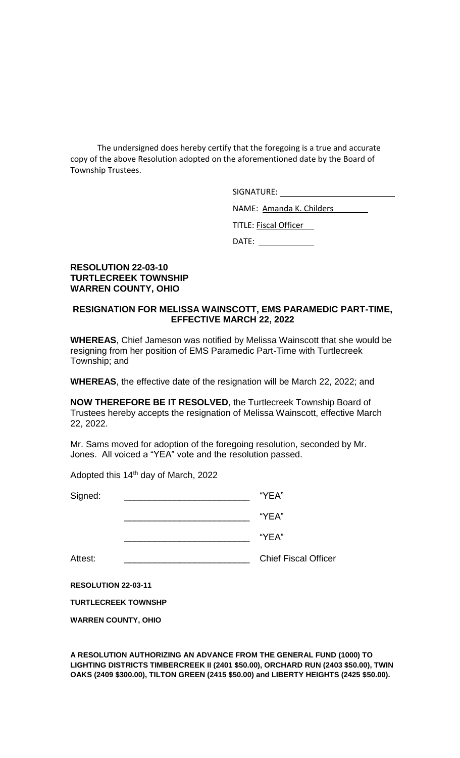The undersigned does hereby certify that the foregoing is a true and accurate copy of the above Resolution adopted on the aforementioned date by the Board of Township Trustees.

SIGNATURE:

NAME: Amanda K. Childers

TITLE: Fiscal Officer

DATE:

# **RESOLUTION 22-03-10 TURTLECREEK TOWNSHIP WARREN COUNTY, OHIO**

# **RESIGNATION FOR MELISSA WAINSCOTT, EMS PARAMEDIC PART-TIME, EFFECTIVE MARCH 22, 2022**

**WHEREAS**, Chief Jameson was notified by Melissa Wainscott that she would be resigning from her position of EMS Paramedic Part-Time with Turtlecreek Township; and

**WHEREAS**, the effective date of the resignation will be March 22, 2022; and

**NOW THEREFORE BE IT RESOLVED**, the Turtlecreek Township Board of Trustees hereby accepts the resignation of Melissa Wainscott, effective March 22, 2022.

Mr. Sams moved for adoption of the foregoing resolution, seconded by Mr. Jones. All voiced a "YEA" vote and the resolution passed.

Adopted this 14<sup>th</sup> day of March, 2022

| Signed: | "YEA"                       |
|---------|-----------------------------|
|         | "YEA"                       |
|         | "YEA"                       |
| Attest: | <b>Chief Fiscal Officer</b> |
|         |                             |

**RESOLUTION 22-03-11**

**TURTLECREEK TOWNSHP**

**WARREN COUNTY, OHIO**

**A RESOLUTION AUTHORIZING AN ADVANCE FROM THE GENERAL FUND (1000) TO LIGHTING DISTRICTS TIMBERCREEK II (2401 \$50.00), ORCHARD RUN (2403 \$50.00), TWIN OAKS (2409 \$300.00), TILTON GREEN (2415 \$50.00) and LIBERTY HEIGHTS (2425 \$50.00).**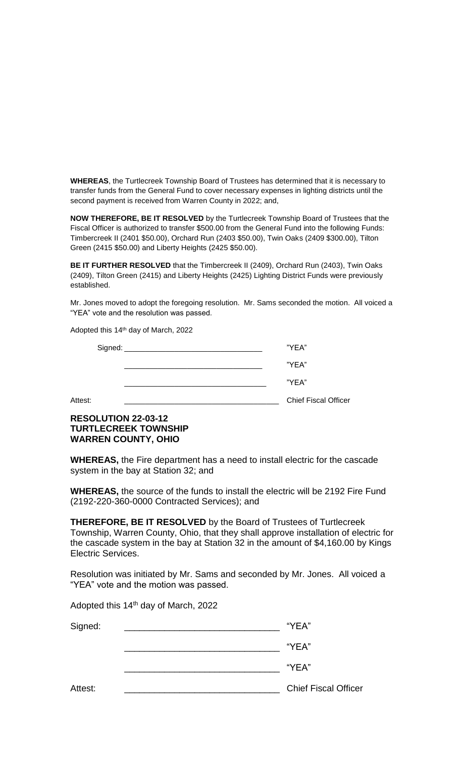**WHEREAS**, the Turtlecreek Township Board of Trustees has determined that it is necessary to transfer funds from the General Fund to cover necessary expenses in lighting districts until the second payment is received from Warren County in 2022; and,

**NOW THEREFORE, BE IT RESOLVED** by the Turtlecreek Township Board of Trustees that the Fiscal Officer is authorized to transfer \$500.00 from the General Fund into the following Funds: Timbercreek II (2401 \$50.00), Orchard Run (2403 \$50.00), Twin Oaks (2409 \$300.00), Tilton Green (2415 \$50.00) and Liberty Heights (2425 \$50.00).

**BE IT FURTHER RESOLVED** that the Timbercreek II (2409), Orchard Run (2403), Twin Oaks (2409), Tilton Green (2415) and Liberty Heights (2425) Lighting District Funds were previously established.

Mr. Jones moved to adopt the foregoing resolution. Mr. Sams seconded the motion. All voiced a "YEA" vote and the resolution was passed.

Adopted this 14th day of March, 2022

| Signed: _ | "YEA"                       |
|-----------|-----------------------------|
|           | "YEA"                       |
|           | "YEA"                       |
| Attest:   | <b>Chief Fiscal Officer</b> |

# **RESOLUTION 22-03-12 TURTLECREEK TOWNSHIP WARREN COUNTY, OHIO**

**WHEREAS,** the Fire department has a need to install electric for the cascade system in the bay at Station 32; and

**WHEREAS,** the source of the funds to install the electric will be 2192 Fire Fund (2192-220-360-0000 Contracted Services); and

**THEREFORE, BE IT RESOLVED** by the Board of Trustees of Turtlecreek Township, Warren County, Ohio, that they shall approve installation of electric for the cascade system in the bay at Station 32 in the amount of \$4,160.00 by Kings Electric Services.

Resolution was initiated by Mr. Sams and seconded by Mr. Jones. All voiced a "YEA" vote and the motion was passed.

Adopted this 14<sup>th</sup> day of March, 2022

| Signed: | "YEA"                       |
|---------|-----------------------------|
|         | "YEA"                       |
|         | "YEA"                       |
| Attest: | <b>Chief Fiscal Officer</b> |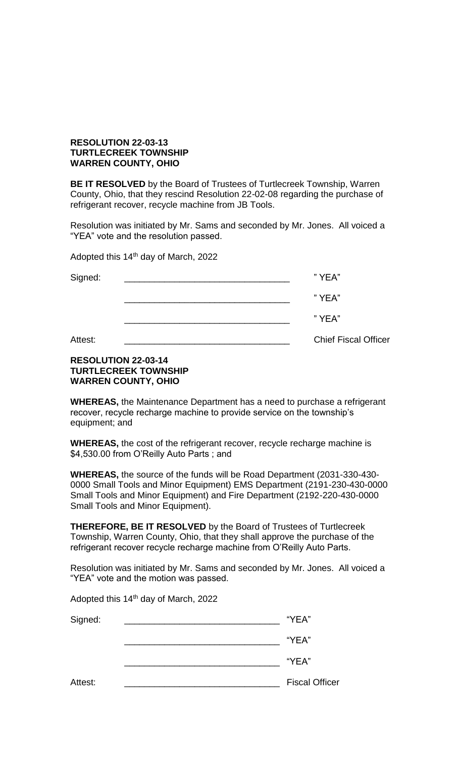# **RESOLUTION 22-03-13 TURTLECREEK TOWNSHIP WARREN COUNTY, OHIO**

**BE IT RESOLVED** by the Board of Trustees of Turtlecreek Township, Warren County, Ohio, that they rescind Resolution 22-02-08 regarding the purchase of refrigerant recover, recycle machine from JB Tools.

Resolution was initiated by Mr. Sams and seconded by Mr. Jones. All voiced a "YEA" vote and the resolution passed.

Adopted this 14th day of March, 2022

| Signed: | "YEA"                       |
|---------|-----------------------------|
|         | "YEA"                       |
|         | "YEA"                       |
| Attest: | <b>Chief Fiscal Officer</b> |

# **RESOLUTION 22-03-14 TURTLECREEK TOWNSHIP WARREN COUNTY, OHIO**

**WHEREAS,** the Maintenance Department has a need to purchase a refrigerant recover, recycle recharge machine to provide service on the township's equipment; and

**WHEREAS,** the cost of the refrigerant recover, recycle recharge machine is \$4,530.00 from O'Reilly Auto Parts ; and

**WHEREAS,** the source of the funds will be Road Department (2031-330-430- 0000 Small Tools and Minor Equipment) EMS Department (2191-230-430-0000 Small Tools and Minor Equipment) and Fire Department (2192-220-430-0000 Small Tools and Minor Equipment).

**THEREFORE, BE IT RESOLVED** by the Board of Trustees of Turtlecreek Township, Warren County, Ohio, that they shall approve the purchase of the refrigerant recover recycle recharge machine from O'Reilly Auto Parts.

Resolution was initiated by Mr. Sams and seconded by Mr. Jones. All voiced a "YEA" vote and the motion was passed.

Adopted this 14<sup>th</sup> day of March, 2022

| Signed: | "YEA"                 |
|---------|-----------------------|
|         | "YEA"                 |
|         | "YEA"                 |
| Attest: | <b>Fiscal Officer</b> |